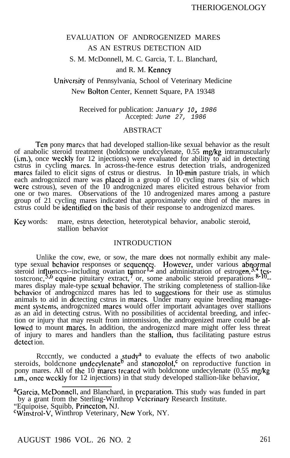# EVALUATION OF ANDROGENIZED MARES AS AN ESTRUS DETECTION AID

S. M. McDonnell, M. C. Garcia, T. L. Blanchard,

# and R. M. Kenncy

# University of Pennsylvania, School of Veterinary Medicine New Bolton Center, Kennett Square, PA 19348

Received for publication: *January 10, 1986* Accepted: *June 27, 1986*

# ABSTRACT

Ten pony marcs that had developed stallion-like sexual behavior as the result of anabolic steroid treatment (boldcnone undccylenate, 0.55 mg/kg intramuscularly (i.m.), once weekly for 12 injections) were evaluated for ability to aid in detecting cstrus in cycling mares. In across-the-fence estrus detection trials, androgenized mares failed to elicit signs of cstrus or diestrus. In 10-min pasture trials, in which each androgcnizcd mare was placed in a group of 10 cycling mares (six of which wcrc cstrous), seven of the 10 androgcnized mares elicited estrous behavior from one or two mares. Observations of the 10 androgenized mares among a pasture group of 21 cycling mares indicated that approximately one third of the mares in cstrus could be identified on the basis of their response to androgenizcd mares.

Key words: mare, estrus detection, heterotypical behavior, anabolic steroid, stallion behavior

# INTRODUCTION

Unlike the cow, ewe, or sow, the mare does not normally exhibit any maletype sexual behavior responses or sequences. type sexual behavior responses or sequences. However, under various abnormal steroid influences--including ovarian tumor<sup>1,2</sup> and administration of estrogen,<sup>3,4</sup> test tostcronc,<sup>5,6</sup> equine pituitary extract,<sup>7</sup> or, some mares display male-type sexual behavior. The striking completeness of stallion-like behavior of andro animals to aid in d cnizcd mares has led to suggestions for their use as stimulus ctecting cstrus in mares. Under many equine breeding management systems, androgenized mares would offer important advantages over stallions as an aid in detecting cstrus. With no possibilities of accidental breeding, and infection or injury that may result from intromission, the androgenized mare could be allowed to mount marcs. In addition, the androgenized mare might offer less threat of injury to mares and handlers than the stallron, thus facilitating pasture estrus detect ion.

Rcccntly, we conducted a study<sup>a</sup> to evaluate the effects of two anabolic steroids, boldcnone undecylenate<sup>b</sup> and stanozolol,<sup>c</sup> on reproductive function in pony mares. All of the 10 mares treated with boldcnone undecylenate (0.55 mg/kg) r.m., once weekly for 12 injections) in that study developed stallion-like behavior,

<sup>a</sup>Garcia, McDonnell, and Blanchard, in preparation. This study was funded in part by a grant from the Sterling-Winthrop Veterinary Research Institute. "Equipoise, Squibb, Princeton, NJ. 'Wmstrol-V, Winthrop Veterinary, New York, NY.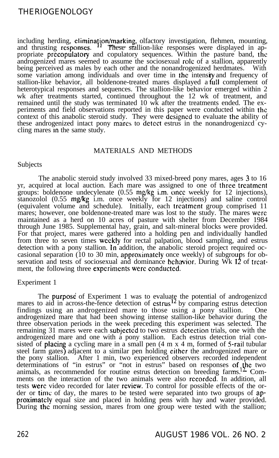including herding, elimination/marking, olfactory investigation, flehmen, mounting, and thrusting responses.  $11$  These stallion-like responses were displayed in appropriate precopulatory and copulatory sequences. Within the pasture band, the androgenized mares seemed to assume the sociosexual role of a stallion, apparently being perceived as males by each other and the nonandrogenized herdmates. some variation among individuals and over time in the intensity and frequency of stallion-like behavior, all boldenone-treated mares displayed a full complement of heterotypical responses and sequences. The stallion-like behavior emerged within 2 wk after treatments started, continued throughout the 12 wk of treatment, and remained until the study was terminated 10 wk after the treatments ended. The experiments and field observations reported in this paper were conducted within the context of this anabolic steroid study. They were designed to evaluate the ability of these androgenized intact pony marcs to detect estrus in the nonandrogenized cycling mares in the same study.

# MATERIALS AND METHODS

# Subjects

The anabolic steroid study involved 33 mixed-breed pony mares, ages 3 to 16 yr, acquired at local auction. Each mare was assigned to one of three treatment groups: boldenone undecylenate (0.55 mg/kg i.m. once weekly for 12 injections), stanozolol (0.55 mg/kg i.m. once weekly for 12 injections) and saline control (equivalent volume and schedule). Initially, each treatment group comprised 11 mares; however, one boldenone-treated mare was lost to the study. The mares were maintained as a herd on 10 acres of pasture with shelter from December 1984 through June 1985. Supplemental hay, grain, and salt-mineral blocks were provided. For that project, mares were gathered into a holding pen and individually handled from three to seven times weekly for rectal palpation, blood sampling, and estrus detection with a pony stallion. In addition, the anabolic steroid project required occasional separation (10 to 30 min, approximately once weekly) of subgroups for obcasional separation (10 to 30 min, approximately once weekly) of subgroups for observation and tests of sociosexual and dominance behavior. During Wk 12 of treatment, the following three expcrimcnts were conducted.

# Experiment 1

The purpose of Experiment 1 was to evaluate the potential of androgenized mares to aid in across-the-fence detection of  $\text{cstrus}^{12}$  by comparing estrus detection findings using an androgenized mare to those using a pony stallion. One androgenized mare that had been showing intense stallion-like behavior during the three observation periods in the week preceding this experiment was selected. The remaining 31 mares were each subjected to two estrus detection trials, one with the androgenized mare and one with a pony stallion. Each estrus detection trial consisted of placin a cycling mare in a small pen (4 m x 4 m, formed of 5-rail tubular steel farm gates) adjacent to a similar pen holding either the androgenized mare or the pony stallion. After 1 min, two experienced observers recorded independent determinations of "in estrus" or "not in estrus" based on responses of,\he two animals, as recommended for routine estrus detection on breeding farms.<sup>14</sup> Comments on the interaction of the two animals were also recorded. In addition, all tests were video recorded for later review. To control for possible effects of the order or time of day, the mares to be tested were separated into two groups of approximately equal size and placed in holding pens with hay and water provided. During the morning session, mares from one group were tested with the stallion;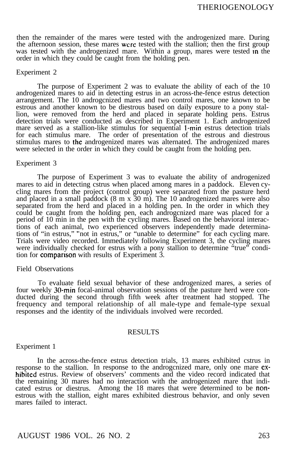then the remainder of the mares were tested with the androgenized mare. During the afternoon session, these mares wcrc tested with the stallion; then the first group was tested with the androgenized mare. Within a group, mares were tested in the order in which they could be caught from the holding pen.

#### Experiment 2

The purpose of Experiment 2 was to evaluate the ability of each of the 10 androgenized mares to aid in detecting estrus in an across-the-fence estrus detection arrangement. The 10 androgcnized mares and two control mares, one known to be estrous and another known to be diestrous based on daily exposure to a pony stallion, were removed from the herd and placed in separate holding pens. Estrus detection trials were conducted as described in Experiment 1. Each androgenized mare served as a stallion-like stimulus for sequential I-min estrus detection trials for each stimulus mare. The order of presentation of the estrous and diestrous stimulus mares to the androgenized mares was alternated. The androgenized mares were selected in the order in which they could be caught from the holding pen.

#### Experiment 3

The purpose of Experiment 3 was to evaluate the ability of androgenized mares to aid in detecting cstrus when placed among mares in a paddock. Eleven cycling mares from the project (control group) were separated from the pasture herd and placed in a small paddock (8 m x 30 m). The 10 androgenized mares were also separated from the herd and placed in a holding pen. In the order in which they could be caught from the holding pen, each androgcnized mare was placed for a period of 10 min in the pen with the cycling mares. Based on the behavioral interactions of each animal, two experienced observers independently made determinations of "in estrus," "not in estrus," or "unable to determine" for each cycling mare. Trials were video recorded. Immediately following Experiment 3, the cycling mares were individually checked for estrus with a pony stallion to determine "true" condition for comparrson with results of Experiment 3.

#### Field Observations

To evaluate field sexual behavior of these androgenized mares, a series of four weekly 30-min focal-animal observation sessions of the pasture herd were conducted during the second through fifth week after treatment had stopped. The frequency and temporal relationship of all male-type and female-type sexual responses and the identity of the individuals involved were recorded.

### RESULTS

#### Experiment 1

In the across-the-fence estrus detection trials, 13 mares exhibited cstrus in response to the stallion. In response to the androgcnized mare, only one mare exhibited estrus. Review of observers' comments and the video record indicated that the remaining 30 mares had no interaction with the androgenized mare that indicated estrus or diestrus. Among the 18 mares that were determined to be nonestrous with the stallion, eight mares exhibited diestrous behavior, and only seven mares failed to interact.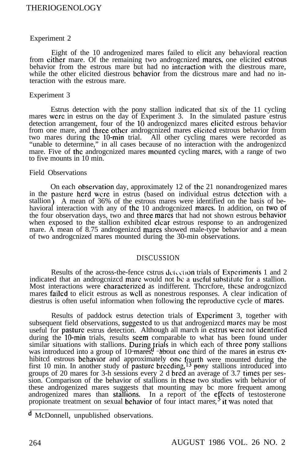# Experiment 2

Eight of the 10 androgenized mares failed to elicit any behavioral reaction from cither mare. Of the remaining two androgenized mares, one elicited estrous behavior from the estrous mare but had no interaction with the diestrous mare, while the other elicited diestrous behavior from the dicstrous mare and had no interaction with the estrous mare.

### Experiment 3

Estrus detection with the pony stallion indicated that six of the 11 cycling mares were in estrus on the day of Experiment 3. In the simulated pasture estrus detection arrangement, four of the 10 androgenizcd mares elicited estrous behavior from one mare, and three other androgcnized mares elicited estrous behavior from two mares during the 10-min trial. All other cycling mares were recorded as "unable to determine," in all cases because of no interaction with the androgenizcd mare. Five of the androgenized mares mounted cycling mares, with a range of two to five mounts in 10 min.

#### Field Observations

On each observation day, approximately 12 of the 21 nonandrogenized mares in the pasture herd wcre in estrus (based on individual estrus detection with a stallion). A mean of  $36\%$  of the estrous mares were identified on the basis of behavioral interaction with any of the 10 androgenized mares. In addition, on two of the four observation days, two and three mares that had not shown estrous behavior when exposed to the stallion exhibited clear estrous response to an androgenized mare. A mean of 8.75 androgenizcd mares showed male-type behavior and a mean of two androgcnized mares mounted during the 30-min observations.

# DISCUSSION

Results of the across-the-fence cstrus dctc.clion trials of Experiments 1 and 2 indicated that an androgenized mare would not be a useful substitute for a stallion. Most interactions were characterized as indifferent. Therefore, these androgenized mares failed to elicit estrous as well as nonestrous responses. A clear indication of diestrus is often useful information when following the reproductive cycle of mares.

Results of paddock estrus detection trials of Experiment 3, together with subsequent field observations, suggested to us that androgenizcd mares may be most useful for pasture estrus detection. Although all march in cstrus wcrc not identified during the 10-min trials, results seem comparable to what has been found under similar situations with stallions. During trials in which each of three pony stallions was introduced into a group of 10 mares, about one third of the mares in estrus  $ex$ hibitcd estrous behavior and approximately one fourth were mounted during the first 10 min. In another study of pasture breeding,  $13$  pony stallions introduced into groups of 20 mares for 3-h sessions every 2 d bred an average of 3.7 times per session. Comparison of the behavior of stallions in these two studies with behavior of these androgenized mares suggests that mounting may bc more frequent among androgenized mares than stallions. In a report of the effects of testosterone propionate treatment on sexual behavior of four intact mares,<sup>5</sup> it was noted that

d McDonnell, unpublished observations.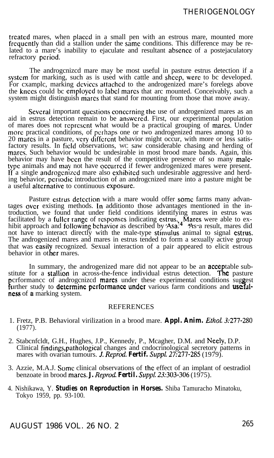treated mares, when placed in a small pen with an estrous mare, mounted more frequently than did a stallion under the same conditions. This difference may be related to a mare's inability to ejaculate and resultant absence of a postejaculatory refractory period.

The androgcnizcd mare may be most useful in pasture estrus detection if a system for marking, such as is used with cattle and sheep, were to bc developed. For cxamplc, marking dcviccs attached to the androgenized mare's forelegs above the knees could be employed to label mares that arc mounted. Conceivably, such a system might distinguish mares that stand for mounting from those that move away.

Several important questions concerning the use of androgenized mares as an aid in estrus detection remain to be answered. First, our experimental population of mares does not reprcscnt what would be a practical grouping of marts. Under more practical conditions, of perhaps one or two androgenized mares among 10 to 20 marts in a pasture, very diffcrcnt behavior might occur, with more or less satisfactory results. In field observations, WC saw considerable chasing and herding of mares. Such behavior would bc undesirable in most brood mare bands. Again, this behavior may have been the result of the competitive presence of so many maletype animals and may not have occurred if fewer androgenized mares were present. If a single androgcmzcd mare also exhibited such undesirable aggressive and herding behavior, perrodic introduction of an androgcnized mare into a pasture might be a useful alternative to continuous exposure

Pasture cstrus detection with a mare would offer some farms many advantages over existing methods. In additionto those advantages mentioned in the introduction, we found that under field conditions identifying mares in estrus was facilitated by a fuller range of responses indicating estrus. Mares were able to exhibit approach and following behavior as described by 'Asa.<sup>4</sup> Yas a result, mares did not have to interact directly with the male-type stimulus animal to signal estrus. The androgenized mares and mares in estrus tended to form a sexually active group that was easily recognized. Sexual interaction of a pair appeared to elicit estrous that was **easily** recognized

In summary, the androgenized mare did not appear to be an **accep**table substitute for a **stallion** in across-the-fence individual estrus detection. **The** pasture further study to determine performance under various farm conditions and usefulperformance of androgenized mares under these experimental conditions suggest ness of a marking system.

### **REFERENCES**

- 1. Fretz, P.B. Behavioral virilization in a brood mare. *Appl. Anim. Ethel. 3:277-280* (1977).
- 2. Stabcnfcldt, G.H., Hughes, J.P., Kennedy, P., Mcagher, D.M. and Neely, D.P. Clinical findings,pathologicaI changes and cndocrinological secretory patterns in mares with ovarian tumours. J. *Reprod. Fertif. Suppf. 27:277-285* (1979).
- 3. Azzie, M.A.J. Some clinical observations of the effect of an implant of oestradiol benzoate in brood marcs. **J.** Reprod. Fertil. Suppl. 23:303-306 (1975).
- 4. Nishikawa, Y. *Studies on Reproduction in Horses.* Shiba Tamuracho Minatoku, Tokyo 1959, pp. 93-100.